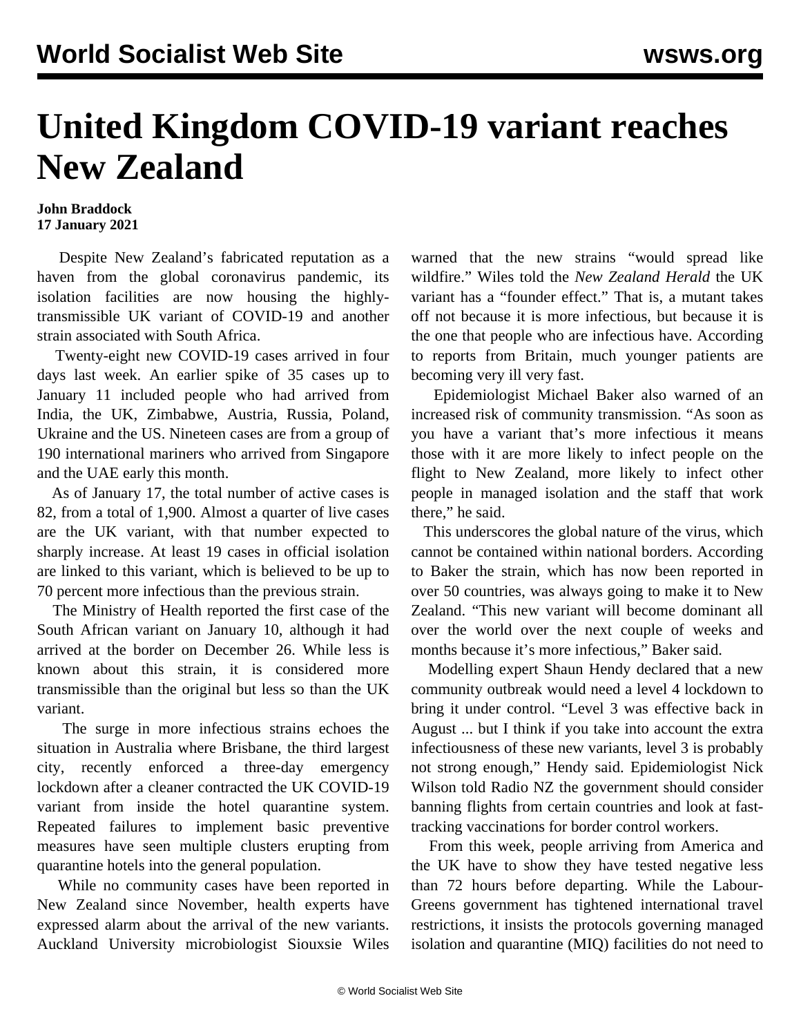## **United Kingdom COVID-19 variant reaches New Zealand**

## **John Braddock 17 January 2021**

 Despite New Zealand's fabricated reputation as a haven from the global coronavirus pandemic, its isolation facilities are now housing the highlytransmissible UK variant of COVID-19 and another strain associated with South Africa.

 Twenty-eight new COVID-19 cases arrived in four days last week. An earlier spike of 35 cases up to January 11 included people who had arrived from India, the UK, Zimbabwe, Austria, Russia, Poland, Ukraine and the US. Nineteen cases are from a group of 190 international mariners who arrived from Singapore and the UAE early this month.

 As of January 17, the total number of active cases is 82, from a total of 1,900. Almost a quarter of live cases are the UK variant, with that number expected to sharply increase. At least 19 cases in official isolation are linked to this variant, which is believed to be up to 70 percent more infectious than the previous strain.

 The Ministry of Health reported the first case of the South African variant on January 10, although it had arrived at the border on December 26. While less is known about this strain, it is considered more transmissible than the original but less so than the UK variant.

 The surge in more infectious strains echoes the situation in Australia where Brisbane, the third largest city, recently enforced a three-day emergency [lockdown](/en/articles/2021/01/11/aust-j11.html) after a cleaner contracted the UK COVID-19 variant from inside the hotel quarantine system. Repeated failures to implement basic preventive measures have seen multiple clusters erupting from quarantine hotels into the general population.

 While no community cases have been reported in New Zealand since November, health experts have expressed alarm about the arrival of the new variants. Auckland University microbiologist Siouxsie Wiles warned that the new strains "would spread like wildfire." Wiles told the *New Zealand Herald* the UK variant has a "founder effect." That is, a mutant takes off not because it is more infectious, but because it is the one that people who are infectious have. According to reports from Britain, much younger patients are becoming very ill very fast.

 Epidemiologist Michael Baker also warned of an increased risk of community transmission. "As soon as you have a variant that's more infectious it means those with it are more likely to infect people on the flight to New Zealand, more likely to infect other people in managed isolation and the staff that work there," he said.

 This underscores the global nature of the virus, which cannot be contained within national borders. According to Baker the strain, which has now been reported in over 50 countries, was always going to make it to New Zealand. "This new variant will become dominant all over the world over the next couple of weeks and months because it's more infectious," Baker said.

 Modelling expert Shaun Hendy declared that a new community outbreak would need a level 4 lockdown to bring it under control. "Level 3 was effective back in August ... but I think if you take into account the extra infectiousness of these new variants, level 3 is probably not strong enough," Hendy said. Epidemiologist Nick Wilson told Radio NZ the government should consider banning flights from certain countries and look at fasttracking vaccinations for border control workers.

 From this week, people arriving from America and the UK have to show they have tested negative less than 72 hours before departing. While the Labour-Greens government has tightened international travel restrictions, it insists the protocols governing managed isolation and quarantine (MIQ) facilities do not need to